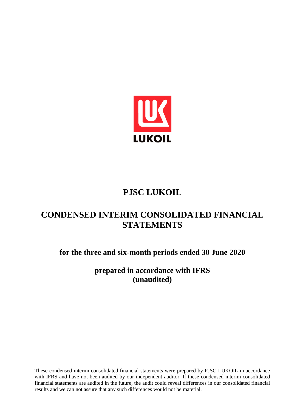

# **PJSC LUKOIL**

# **CONDENSED INTERIM CONSOLIDATED FINANCIAL STATEMENTS**

**for the three and six-month periods ended 30 June 2020**

**prepared in accordance with IFRS (unaudited)**

These condensed interim consolidated financial statements were prepared by PJSC LUKOIL in accordance with IFRS and have not been audited by our independent auditor. If these condensed interim consolidated financial statements are audited in the future, the audit could reveal differences in our consolidated financial results and we can not assure that any such differences would not be material.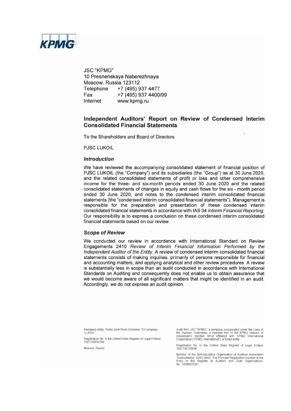

**JSC "KPMG"** 10 Presnenskaya Naberezhnaya Moscow, Russia 123112 Telephone +7 (495) 937 4477 Fax +7 (495) 937 4400/99 Internet www.kpmg.ru

## Independent Auditors' Report on Review of Condensed Interim **Consolidated Financial Statements**

To the Shareholders and Board of Directors

**PJSC LUKOIL** 

#### **Introduction**

We have reviewed the accompanying consolidated statement of financial position of PJSC LUKOIL (the "Company") and its subsidiaries (the "Group") as at 30 June 2020, and the related consolidated statements of profit or loss and other comprehensive income for the three- and six-month periods ended 30 June 2020 and the related consolidated statements of changes in equity and cash flows for the six - month period ended 30 June 2020, and notes to the condensed interim consolidated financial statements (the "condensed interim consolidated financial statements"). Management is responsible for the preparation and presentation of these condensed interim consolidated financial statements in accordance with IAS 34 Interim Financial Reporting. Our responsibility is to express a conclusion on these condensed interim consolidated financial statements based on our review.

#### **Scope of Review**

We conducted our review in accordance with International Standard on Review Engagements 2410 Review of Interim Financial Information Performed by the Independent Auditor of the Entity. A review of condensed interim consolidated financial statements consists of making inquiries, primarily of persons responsible for financial and accounting matters, and applying analytical and other review procedures. A review is substantially less in scope than an audit conducted in accordance with International Standards on Auditing and consequently does not enable us to obtain assurance that we would become aware of all significant matters that might be identified in an audit. Accordingly, we do not express an audit opinion.

Reviewed entity: Public Joint Stock Company "Oil company "LUKOIL"

Registration No. in the Unified State Register of Legal Entities<br>1027700035769.

Moscow, Russia

Audit firm: JSC "KPMG", a company incorporated under the Laws of The Russian Federation, a member firm of the KPMG network of<br>independent member firms affiliated with KPMG International<br>Cooperative ("KPMG International"), a Swiss entity.

Registration No. in the Unified State Register of Legal Entities<br>1027700125628.

Member of the Self-regulatory Organization of Auditors Association<br>"Sodruzhestvo" (SRO AAS). The Principal Registration Number of the<br>Entry in the Register of Auditors and Audit Organisations: No. 12006020351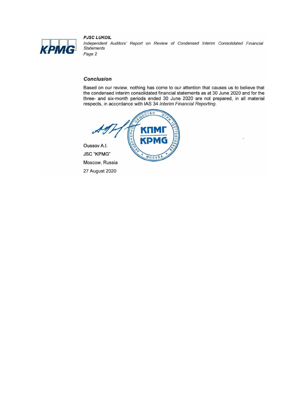

**PJSC LUKOIL** Independent Auditors' Report on Review of Condensed Interim Consolidated Financial **Statements** Page 2

# **Conclusion**

Based on our review, nothing has come to our attention that causes us to believe that the condensed interim consolidated financial statements as at 30 June 2020 and for the three- and six-month periods ended 30 June 2020 are not prepared, in all material respects, in accordance with IAS 34 Interim Financial Reporting.



Oussov A.I. **JSC "KPMG"** Moscow, Russia 27 August 2020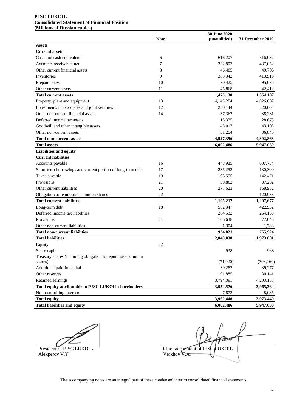#### **PJSC LUKOIL Consolidated Statement of Financial Position (Millions of Russian rubles)**

|                                                             |             | 30 June 2020 |                  |
|-------------------------------------------------------------|-------------|--------------|------------------|
|                                                             | <b>Note</b> | (unauditied) | 31 December 2019 |
| <b>Assets</b>                                               |             |              |                  |
| <b>Current assets</b>                                       |             |              |                  |
| Cash and cash equivalents                                   | 6           | 616,207      | 516,032          |
| Accounts receivable, net                                    | 7           | 332,803      | 437,052          |
| Other current financial assets                              | 8           | 46,485       | 49,706           |
| Inventories                                                 | 9           | 363,342      | 413,910          |
| Prepaid taxes                                               | 10          | 70,425       | 95,075           |
| Other current assets                                        | 11          | 45,868       | 42,412           |
| <b>Total current assets</b>                                 |             | 1,475,130    | 1,554,187        |
| Property, plant and equipment                               | 13          | 4,145,254    | 4,026,007        |
| Investments in associates and joint ventures                | 12          | 250,144      | 220,004          |
| Other non-current financial assets                          | 14          | 37,362       | 38,231           |
| Deferred income tax assets                                  |             | 18,325       | 28,673           |
| Goodwill and other intangible assets                        |             | 45,017       | 43,108           |
| Other non-current assets                                    |             | 31,254       | 36,840           |
| <b>Total non-current assets</b>                             |             | 4,527,356    | 4,392,863        |
| <b>Total assets</b>                                         |             | 6,002,486    | 5,947,050        |
| <b>Liabilities and equity</b>                               |             |              |                  |
| <b>Current liabilities</b>                                  |             |              |                  |
| Accounts payable                                            | 16          | 448,925      | 607,734          |
| Short-term borrowings and current portion of long-term debt | 17          | 235,252      | 130,300          |
| Taxes payable                                               | 19          | 103,555      | 142,471          |
| Provisions                                                  | 21          | 39,862       | 37,232           |
| Other current liabilities                                   | 20          | 277,623      | 168,952          |
| Obligation to repurchase common shares                      | 22          |              | 120,988          |
| <b>Total current liabilities</b>                            |             | 1,105,217    | 1,207,677        |
| Long-term debt                                              | 18          | 562,347      | 422,932          |
| Deferred income tax liabilities                             |             | 264,532      | 264,159          |
| Provisions                                                  | 21          | 106,638      | 77,045           |
| Other non-current liabilities                               |             | 1,304        | 1,788            |
| <b>Total non-current liabilities</b>                        |             | 934,821      | 765,924          |
| <b>Total liabilities</b>                                    |             | 2,040,038    | 1,973,601        |
| <b>Equity</b>                                               | 22          |              |                  |
| Share capital                                               |             | 938          | 968              |
| Treasury shares (including obligation to repurchase common  |             |              |                  |
| shares)                                                     |             | (71, 920)    | (308, 160)       |
| Additional paid-in capital                                  |             | 39,282       | 39,277           |
| Other reserves                                              |             | 191,885      | 30,141           |
| Retained earnings                                           |             | 3,794,391    | 4,203,138        |
| Total equity attributable to PJSC LUKOIL shareholders       |             | 3,954,576    | 3,965,364        |
| Non-controlling interests                                   |             | 7,872        | 8,085            |
| <b>Total equity</b>                                         |             | 3,962,448    | 3,973,449        |
| <b>Total liabilities and equity</b>                         |             | 6,002,486    | 5,947,050        |

Alekperov V.Y.

 $\mathcal{H}$ President of PJSC LUKOIL Chief accountant of PJSC LUKOIL Alekperov V.Y.

The accompanying notes are an integral part of these condensed interim consolidated financial statements.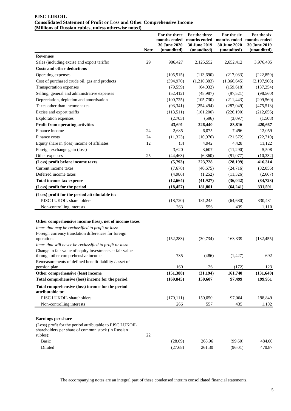#### **PJSC LUKOIL Consolidated Statement of Profit or Loss and Other Comprehensive Income (Millions of Russian rubles, unless otherwise noted)**

|                                                                                                                            | <b>Note</b> | For the three<br>months ended<br>30 June 2020<br>(unaudited) | For the three<br>months ended<br>30 June 2019<br>(unaudited) | For the six<br>months ended<br>30 June 2020<br>(unaudited) | For the six<br>months ended<br>30 June 2019<br>(unaudited) |
|----------------------------------------------------------------------------------------------------------------------------|-------------|--------------------------------------------------------------|--------------------------------------------------------------|------------------------------------------------------------|------------------------------------------------------------|
| <b>Revenues</b>                                                                                                            |             |                                                              |                                                              |                                                            |                                                            |
| Sales (including excise and export tariffs)                                                                                | 29          | 986,427                                                      | 2,125,552                                                    | 2,652,412                                                  | 3,976,485                                                  |
| <b>Costs and other deductions</b>                                                                                          |             |                                                              |                                                              |                                                            |                                                            |
| Operating expenses                                                                                                         |             | (105, 515)                                                   | (113,690)                                                    | (217,033)                                                  | (222, 859)                                                 |
| Cost of purchased crude oil, gas and products                                                                              |             | (394,970)                                                    | (1,210,383)                                                  | (1,366,645)                                                | (2,197,908)                                                |
| Transportation expenses                                                                                                    |             | (79, 559)                                                    | (64, 032)                                                    | (159, 618)                                                 | (137, 254)                                                 |
| Selling, general and administrative expenses                                                                               |             | (52, 412)                                                    | (48,987)                                                     | (97, 521)                                                  | (98, 560)                                                  |
| Depreciation, depletion and amortisation                                                                                   |             | (100, 725)                                                   | (105,730)                                                    | (211, 443)                                                 | (209, 560)                                                 |
| Taxes other than income taxes                                                                                              |             | (93, 341)                                                    | (254, 494)                                                   | (287, 049)                                                 | (475,513)                                                  |
| Excise and export tariffs                                                                                                  |             | (113,511)                                                    | (101,200)                                                    | (226,190)                                                  | (212, 656)                                                 |
| <b>Exploration</b> expenses                                                                                                |             | (2,703)                                                      | (596)                                                        | (3,097)                                                    | (1,508)                                                    |
| Profit from operating activities                                                                                           |             | 43,691                                                       | 226,440                                                      | 83,816                                                     | 420,667                                                    |
| Finance income                                                                                                             | 24          | 2,685                                                        | 6,075                                                        | 7,496                                                      | 12,059                                                     |
| Finance costs                                                                                                              | 24          | (11, 323)                                                    | (10,976)                                                     | (21,572)                                                   | (22,710)                                                   |
| Equity share in (loss) income of affiliates                                                                                | 12          | (3)                                                          | 4,942                                                        | 4,428                                                      | 11,122                                                     |
| Foreign exchange gain (loss)                                                                                               |             | 3,620                                                        | 3,607                                                        | (11,290)                                                   | 5,508                                                      |
| Other expenses                                                                                                             | 25          | (44, 463)                                                    | (6,360)                                                      | (91, 077)                                                  | (10, 332)                                                  |
| (Loss) profit before income taxes                                                                                          |             | (5,793)                                                      | 223,728                                                      | (28, 199)                                                  | 416,314                                                    |
| Current income taxes                                                                                                       |             | (7,678)                                                      | (40, 675)                                                    | (24,716)                                                   | (82,056)                                                   |
| Deferred income taxes                                                                                                      |             | (4,986)                                                      | (1,252)                                                      | (11,326)                                                   | (2,667)                                                    |
| Total income tax expense                                                                                                   |             | (12, 664)                                                    | (41, 927)                                                    | (36, 042)                                                  | (84, 723)                                                  |
| (Loss) profit for the period                                                                                               |             | (18, 457)                                                    | 181,801                                                      | (64, 241)                                                  | 331,591                                                    |
| (Loss) profit for the period attributable to:                                                                              |             |                                                              |                                                              |                                                            |                                                            |
| PJSC LUKOIL shareholders                                                                                                   |             | (18, 720)                                                    | 181,245                                                      | (64, 680)                                                  | 330,481                                                    |
| Non-controlling interests                                                                                                  |             | 263                                                          | 556                                                          | 439                                                        | 1,110                                                      |
| Other comprehensive income (loss), net of income taxes                                                                     |             |                                                              |                                                              |                                                            |                                                            |
| Items that may be reclassified to profit or loss:                                                                          |             |                                                              |                                                              |                                                            |                                                            |
| Foreign currency translation differences for foreign<br>operations                                                         |             | (152, 283)                                                   | (30, 734)                                                    | 163,339                                                    | (132, 455)                                                 |
| Items that will never be reclassified to profit or loss:                                                                   |             |                                                              |                                                              |                                                            |                                                            |
| Change in fair value of equity investments at fair value<br>through other comprehensive income                             |             | 735                                                          | (486)                                                        | (1, 427)                                                   | 692                                                        |
| Remeasurements of defined benefit liability / asset of<br>pension plan                                                     |             | 160                                                          | 26                                                           | (172)                                                      | 123                                                        |
| Other comprehensive (loss) income                                                                                          |             | (151, 388)                                                   | (31, 194)                                                    | 161,740                                                    | (131, 640)                                                 |
| Total comprehensive (loss) income for the period                                                                           |             | (169, 845)                                                   | 150,607                                                      | 97,499                                                     | 199,951                                                    |
| Total comprehensive (loss) income for the period<br>attributable to:                                                       |             |                                                              |                                                              |                                                            |                                                            |
| PJSC LUKOIL shareholders                                                                                                   |             | (170, 111)                                                   | 150,050                                                      | 97,064                                                     | 198,849                                                    |
| Non-controlling interests                                                                                                  |             | 266                                                          | 557                                                          | 435                                                        | 1,102                                                      |
|                                                                                                                            |             |                                                              |                                                              |                                                            |                                                            |
| Earnings per share                                                                                                         |             |                                                              |                                                              |                                                            |                                                            |
| (Loss) profit for the period attributable to PJSC LUKOIL<br>shareholders per share of common stock (in Russian<br>rubles): | 22          |                                                              |                                                              |                                                            |                                                            |
| Basic                                                                                                                      |             | (28.69)                                                      | 268.96                                                       | (99.60)                                                    | 484.00                                                     |
| Diluted                                                                                                                    |             | (27.68)                                                      | 261.30                                                       | (96.01)                                                    | 470.87                                                     |
|                                                                                                                            |             |                                                              |                                                              |                                                            |                                                            |

The accompanying notes are an integral part of these condensed interim consolidated financial statements.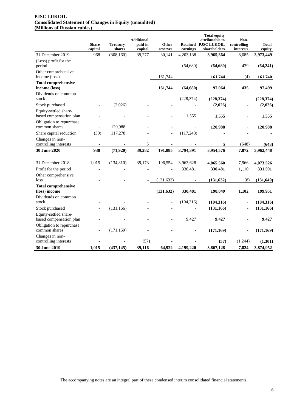#### **PJSC LUKOIL Consolidated Statement of Changes in Equity (unaudited) (Millions of Russian rubles)**

|                                                     | <b>Share</b>             | <b>Treasury</b> | <b>Additional</b><br>paid-in | Other      |            | <b>Total equity</b><br>attributable to<br><b>Retained PJSC LUKOIL</b> | Non-<br>controlling | <b>Total</b> |
|-----------------------------------------------------|--------------------------|-----------------|------------------------------|------------|------------|-----------------------------------------------------------------------|---------------------|--------------|
|                                                     | capital                  | shares          | capital                      | reserves   | earnings   | shareholders                                                          | interests           | equity       |
| 31 December 2019                                    | 968                      | (308, 160)      | 39,277                       | 30,141     | 4,203,138  | 3,965,364                                                             | 8,085               | 3,973,449    |
| (Loss) profit for the<br>period                     |                          |                 |                              |            | (64, 680)  | (64, 680)                                                             | 439                 | (64,241)     |
| Other comprehensive<br>income (loss)                |                          |                 |                              | 161,744    |            | 161,744                                                               | (4)                 | 161,740      |
| <b>Total comprehensive</b><br>income (loss)         |                          |                 |                              | 161,744    | (64, 680)  | 97,064                                                                | 435                 | 97,499       |
| Dividends on common                                 |                          |                 |                              |            |            |                                                                       |                     |              |
| stock                                               |                          |                 |                              |            | (228, 374) | (228, 374)                                                            |                     | (228, 374)   |
| Stock purchased<br>Equity-settled share-            |                          | (2,026)         |                              |            |            | (2,026)                                                               |                     | (2,026)      |
| based compensation plan<br>Obligation to repurchase |                          |                 |                              |            | 1,555      | 1,555                                                                 |                     | 1,555        |
| common shares                                       |                          | 120,988         |                              |            |            | 120,988                                                               |                     | 120,988      |
| Share capital reduction                             | (30)                     | 117,278         |                              |            | (117, 248) |                                                                       |                     |              |
| Changes in non-<br>controlling interests            |                          |                 | 5                            |            |            | 5                                                                     | (648)               | (643)        |
| 30 June 2020                                        | 938                      | (71, 920)       | 39,282                       | 191,885    | 3,794,391  | 3,954,576                                                             | 7,872               | 3,962,448    |
|                                                     |                          |                 |                              |            |            |                                                                       |                     |              |
| 31 December 2018                                    | 1,015                    | (134, 810)      | 39,173                       | 196,554    | 3,963,628  | 4,065,560                                                             | 7,966               | 4,073,526    |
| Profit for the period                               |                          |                 |                              |            | 330,481    | 330,481                                                               | 1,110               | 331,591      |
| Other comprehensive                                 |                          |                 |                              |            |            |                                                                       |                     |              |
| loss                                                |                          |                 |                              | (131, 632) |            | (131, 632)                                                            | (8)                 | (131, 640)   |
| <b>Total comprehensive</b><br>(loss) income         |                          |                 |                              | (131, 632) | 330,481    | 198,849                                                               | 1,102               | 199,951      |
| Dividends on common<br>stock                        |                          |                 |                              |            | (104, 316) | (104, 316)                                                            | $\overline{a}$      | (104, 316)   |
| Stock purchased                                     |                          | (131, 166)      |                              |            |            |                                                                       |                     |              |
| Equity-settled share-                               | $\overline{\phantom{a}}$ |                 |                              |            |            | (131, 166)                                                            | $\overline{a}$      | (131, 166)   |
| based compensation plan                             |                          |                 |                              |            | 9,427      | 9,427                                                                 |                     | 9,427        |
| Obligation to repurchase<br>common shares           | $\overline{a}$           | (171, 169)      |                              |            |            | (171, 169)                                                            |                     | (171, 169)   |
| Changes in non-<br>controlling interests            |                          |                 | (57)                         |            |            | (57)                                                                  | (1,244)             | (1,301)      |
| 30 June 2019                                        | 1,015                    | (437, 145)      | 39,116                       | 64,922     | 4,199,220  | 3,867,128                                                             | 7,824               | 3,874,952    |
|                                                     |                          |                 |                              |            |            |                                                                       |                     |              |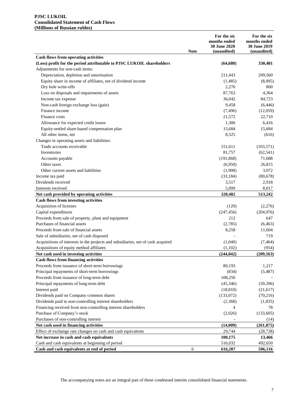#### **PJSC LUKOIL Consolidated Statement of Cash Flows (Millions of Russian rubles)**

|                                                                                          | <b>Note</b> | For the six<br>months ended<br>30 June 2020<br>(unaudited) | For the six<br>months ended<br>30 June 2019<br>(unaudited) |
|------------------------------------------------------------------------------------------|-------------|------------------------------------------------------------|------------------------------------------------------------|
| <b>Cash flows from operating activities</b>                                              |             |                                                            |                                                            |
| (Loss) profit for the period attributable to PJSC LUKOIL shareholders                    |             | (64, 680)                                                  | 330,481                                                    |
| Adjustments for non-cash items:                                                          |             |                                                            |                                                            |
| Depreciation, depletion and amortisation                                                 |             | 211,443                                                    | 209,560                                                    |
| Equity share in income of affiliates, net of dividend income                             |             | (1,485)                                                    | (8,095)                                                    |
| Dry hole write-offs                                                                      |             | 2,276                                                      | 800                                                        |
| Loss on disposals and impairments of assets                                              |             | 87,763                                                     | 4,364                                                      |
| Income tax expense                                                                       |             | 36,042                                                     | 84,723                                                     |
| Non-cash foreign exchange loss (gain)                                                    |             | 9,458                                                      | (6, 446)                                                   |
| Finance income                                                                           |             | (7, 496)                                                   | (12,059)                                                   |
| Finance costs                                                                            |             | 21,572                                                     | 22,710                                                     |
| Allowance for expected credit losses                                                     |             | 1,306                                                      | 6,416                                                      |
| Equity-settled share-based compensation plan                                             |             | 15,684                                                     | 15,684                                                     |
| All other items, net                                                                     |             | 8,525                                                      | (616)                                                      |
| Changes in operating assets and liabilities:                                             |             |                                                            |                                                            |
| Trade accounts receivable                                                                |             | 151,611                                                    | (103, 571)                                                 |
| Inventories                                                                              |             | 81,757                                                     | (62, 541)                                                  |
| Accounts payable                                                                         |             | (191, 868)                                                 | 71,688                                                     |
| Other taxes                                                                              |             | (6,950)                                                    | 26,815                                                     |
| Other current assets and liabilities                                                     |             | (1,908)                                                    | 3,072                                                      |
| Income tax paid                                                                          |             | (33, 184)                                                  | (80,678)                                                   |
| Dividends received                                                                       |             | 3,517                                                      | 2,918                                                      |
| Interests received                                                                       |             | 5,099                                                      |                                                            |
|                                                                                          |             | 328,482                                                    | 8,017<br>513,242                                           |
| Net cash provided by operating activities<br><b>Cash flows from investing activities</b> |             |                                                            |                                                            |
| Acquisition of licenses                                                                  |             | (129)                                                      | (2,276)                                                    |
| Capital expenditures                                                                     |             | (247, 456)                                                 | (204, 976)                                                 |
| Proceeds from sale of property, plant and equipment                                      |             | 212                                                        | 647                                                        |
| Purchases of financial assets                                                            |             | (2,785)                                                    | (6, 463)                                                   |
| Proceeds from sale of financial assets                                                   |             | 8,258                                                      | 11,604                                                     |
| Sale of subsidiaries, net of cash disposed                                               |             |                                                            | 719                                                        |
| Acquisitions of interests in the projects and subsidiaries, net of cash acquired         |             |                                                            | (7, 464)                                                   |
|                                                                                          |             | (1,040)                                                    | (954)                                                      |
| Acquisitions of equity method affiliates                                                 |             | (1,102)                                                    |                                                            |
| Net cash used in investing activities                                                    |             | (244, 042)                                                 | (209, 163)                                                 |
| <b>Cash flows from financing activities</b>                                              |             |                                                            |                                                            |
| Proceeds from issuance of short-term borrowings                                          |             | 80,193                                                     | 1,217                                                      |
| Principal repayments of short-term borrowings                                            |             | (834)                                                      | (5,487)                                                    |
| Proceeds from issuance of long-term debt                                                 |             | 108,250                                                    |                                                            |
| Principal repayments of long-term debt                                                   |             | (45,346)                                                   | (30, 396)                                                  |
| Interest paid                                                                            |             | (18, 810)                                                  | (21, 617)                                                  |
| Dividends paid on Company common shares                                                  |             | (133,072)                                                  | (70, 216)                                                  |
| Dividends paid to non-controlling interest shareholders                                  |             | (2,368)                                                    | (1,835)                                                    |
| Financing received from non-controlling interest shareholders                            |             | 4                                                          | 78                                                         |
| Purchase of Company's stock                                                              |             | (2,026)                                                    | (133,605)                                                  |
| Purchases of non-controlling interest                                                    |             |                                                            | (14)                                                       |
| Net cash used in financing activities                                                    |             | (14,009)                                                   | (261, 875)                                                 |
| Effect of exchange rate changes on cash and cash equivalents                             |             | 29,744                                                     | (28, 738)                                                  |
| Net increase in cash and cash equivalents                                                |             | 100,175                                                    | 13,466                                                     |
| Cash and cash equivalents at beginning of period                                         |             | 516,032                                                    | 492,650                                                    |
| Cash and cash equivalents at end of period                                               | 6           | 616,207                                                    | 506,116                                                    |

The accompanying notes are an integral part of these condensed interim consolidated financial statements.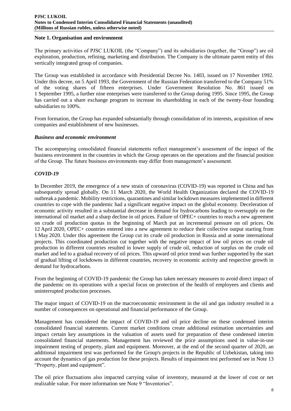## **Note 1. Organisation and environment**

The primary activities of PJSC LUKOIL (the "Company") and its subsidiaries (together, the "Group") are oil exploration, production, refining, marketing and distribution. The Company is the ultimate parent entity of this vertically integrated group of companies.

The Group was established in accordance with Presidential Decree No. 1403, issued on 17 November 1992. Under this decree, on 5 April 1993, the Government of the Russian Federation transferred to the Company 51% of the voting shares of fifteen enterprises. Under Government Resolution No. 861 issued on 1 September 1995, a further nine enterprises were transferred to the Group during 1995. Since 1995, the Group has carried out a share exchange program to increase its shareholding in each of the twenty-four founding subsidiaries to 100%.

From formation, the Group has expanded substantially through consolidation of its interests, acquisition of new companies and establishment of new businesses.

## *Business and economic environment*

The accompanying consolidated financial statements reflect management's assessment of the impact of the business environment in the countries in which the Group operates on the operations and the financial position of the Group. The future business environments may differ from management's assessment.

## *COVID-19*

In December 2019, the emergence of a new strain of coronavirus (COVID-19) was reported in China and has subsequently spread globally. On 11 March 2020, the World Health Organization declared the COVID-19 outbreak a pandemic. Mobility restrictions, quarantines and similar lockdown measures implemented in different countries to cope with the pandemic had a significant negative impact on the global economy. Deceleration of economic activity resulted in a substantial decrease in demand for hydrocarbons leading to oversupply on the international oil market and a sharp decline in oil prices. Failure of OPEC+ countries to reach a new agreement on crude oil production quotas in the beginning of March put an incremental pressure on oil prices. On 12 April 2020, OPEC+ countries entered into a new agreement to reduce their collective output starting from 1 May 2020. Under this agreement the Group cut its crude oil production in Russia and at some international projects. This coordinated production cut together with the negative impact of low oil prices on crude oil production in different countries resulted in lower supply of crude oil, reduction of surplus on the crude oil market and led to a gradual recovery of oil prices. This upward oil price trend was further supported by the start of gradual lifting of lockdowns in different countries, recovery in economic activity and respective growth in demand for hydrocarbons.

From the beginning of COVID-19 pandemic the Group has taken necessary measures to avoid direct impact of the pandemic on its operations with a special focus on protection of the health of employees and clients and uninterrupted production processes.

The major impact of COVID-19 on the macroeconomic environment in the oil and gas industry resulted in a number of consequences on operational and financial performance of the Group.

Management has considered the impact of COVID-19 and oil price decline on these condensed interim consolidated financial statements. Current market conditions create additional estimation uncertainties and impact certain key assumptions in the valuation of assets used for preparation of these condensed interim consolidated financial statements. Management has reviewed the price assumptions used in value-in-use impairment testing of property, plant and equipment. Moreover, at the end of the second quarter of 2020, an additional impairment test was performed for the Group's projects in the Republic of Uzbekistan, taking into account the dynamics of gas production for these projects. Results of impairment test performed see in Note 13 "Property, plant and equipment".

The oil price fluctuations also impacted carrying value of inventory, measured at the lower of cost or net realizable value. For more information see Note 9 "Inventories".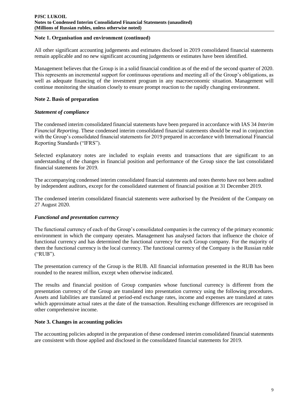## **Note 1. Organisation and environment (сontinued)**

All other significant accounting judgements and estimates disclosed in 2019 consolidated financial statements remain applicable and no new significant accounting judgements or estimates have been identified.

Management believes that the Group is in a solid financial condition as of the end of the second quarter of 2020. This represents an incremental support for continuous operations and meeting all of the Group's obligations, as well as adequate financing of the investment program in any macroeconomic situation. Management will continue monitoring the situation closely to ensure prompt reaction to the rapidly changing environment.

## **Note 2. Basis of preparation**

## *Statement of compliance*

The condensed interim consolidated financial statements have been prepared in accordance with IAS 34 *Interim Financial Reporting*. These condensed interim consolidated financial statements should be read in conjunction with the Group's consolidated financial statements for 2019 prepared in accordance with International Financial Reporting Standards ("IFRS").

Selected explanatory notes are included to explain events and transactions that are significant to an understanding of the changes in financial position and performance of the Group since the last consolidated financial statements for 2019.

The accompanying condensed interim consolidated financial statements and notes thereto have not been audited by independent auditors, except for the consolidated statement of financial position at 31 December 2019.

The condensed interim consolidated financial statements were authorised by the President of the Company on 27 August 2020.

# *Functional and presentation currency*

The functional currency of each of the Group's consolidated companies is the currency of the primary economic environment in which the company operates. Management has analysed factors that influence the choice of functional currency and has determined the functional currency for each Group company. For the majority of them the functional currency is the local currency. The functional currency of the Company is the Russian ruble ("RUB").

The presentation currency of the Group is the RUB. All financial information presented in the RUB has been rounded to the nearest million, except when otherwise indicated.

The results and financial position of Group companies whose functional currency is different from the presentation currency of the Group are translated into presentation currency using the following procedures. Assets and liabilities are translated at period-end exchange rates, income and expenses are translated at rates which approximate actual rates at the date of the transaction. Resulting exchange differences are recognised in other comprehensive income.

## **Note 3. Changes in accounting policies**

The accounting policies adopted in the preparation of these condensed interim consolidated financial statements are consistent with those applied and disclosed in the consolidated financial statements for 2019.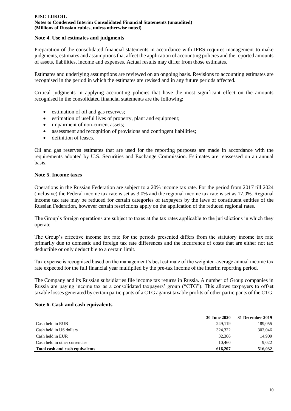## **Note 4. Use of estimates and judgments**

Preparation of the consolidated financial statements in accordance with IFRS requires management to make judgments, estimates and assumptions that affect the application of accounting policies and the reported amounts of assets, liabilities, income and expenses. Actual results may differ from those estimates.

Estimates and underlying assumptions are reviewed on an ongoing basis. Revisions to accounting estimates are recognised in the period in which the estimates are revised and in any future periods affected.

Critical judgments in applying accounting policies that have the most significant effect on the amounts recognised in the consolidated financial statements are the following:

- estimation of oil and gas reserves;
- estimation of useful lives of property, plant and equipment;
- impairment of non-current assets;
- assessment and recognition of provisions and contingent liabilities;
- definition of leases.

Oil and gas reserves estimates that are used for the reporting purposes are made in accordance with the requirements adopted by U.S. Securities and Exchange Commission. Estimates are reassessed on an annual basis.

## **Note 5. Income taxes**

Operations in the Russian Federation are subject to a 20% income tax rate. For the period from 2017 till 2024 (inclusive) the Federal income tax rate is set as 3.0% and the regional income tax rate is set as 17.0%. Regional income tax rate may be reduced for certain categories of taxpayers by the laws of constituent entities of the Russian Federation, however certain restrictions apply on the application of the reduced regional rates.

The Group's foreign operations are subject to taxes at the tax rates applicable to the jurisdictions in which they operate.

The Group's effective income tax rate for the periods presented differs from the statutory income tax rate primarily due to domestic and foreign tax rate differences and the incurrence of costs that are either not tax deductible or only deductible to a certain limit.

Tax expense is recognised based on the management's best estimate of the weighted-average annual income tax rate expected for the full financial year multiplied by the pre-tax income of the interim reporting period.

The Company and its Russian subsidiaries file income tax returns in Russia. A number of Group companies in Russia are paying income tax as a consolidated taxpayers' group ("CTG"). This allows taxpayers to offset taxable losses generated by certain participants of a CTG against taxable profits of other participants of the CTG.

## **Note 6. Cash and cash equivalents**

|                                 | <b>30 June 2020</b> | 31 December 2019 |
|---------------------------------|---------------------|------------------|
| Cash held in RUB                | 249.119             | 189,055          |
| Cash held in US dollars         | 324,322             | 303,046          |
| Cash held in EUR                | 32,306              | 14.909           |
| Cash held in other currencies   | 10.460              | 9.022            |
| Total cash and cash equivalents | 616,207             | 516,032          |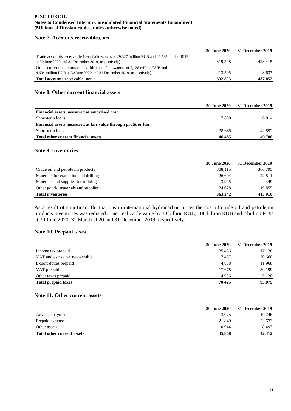## **Note 7. Accounts receivables, net**

|                                                                                           | <b>30 June 2020</b> | 31 December 2019 |
|-------------------------------------------------------------------------------------------|---------------------|------------------|
| Trade accounts receivable (net of allowances of 29,327 million RUB and 26,593 million RUB |                     |                  |
| at 30 June 2020 and 31 December 2019, respectively)                                       | 319.298             | 428,415          |
| Other current accounts receivable (net of allowances of 5,128 million RUB and             |                     |                  |
| 4,694 million RUB at 30 June 2020 and 31 December 2019, respectively)                     | 13.505              | 8,637            |
| Total accounts receivable, net                                                            | 332,803             | 437,052          |

## **Note 8. Other current financial assets**

|                                                                | <b>30 June 2020</b> | 31 December 2019 |
|----------------------------------------------------------------|---------------------|------------------|
| Financial assets measured at amortised cost                    |                     |                  |
| Short-term loans                                               | 7.800               | 6.814            |
| Financial assets measured at fair value through profit or loss |                     |                  |
| Short-term loans                                               | 38.685              | 42,892           |
| Total other current financial assets                           | 46,485              | 49,706           |

## **Note 9. Inventories**

|                                       | <b>30 June 2020</b> | 31 December 2019 |
|---------------------------------------|---------------------|------------------|
| Crude oil and petroleum products      | 308,115             | 366,795          |
| Materials for extraction and drilling | 26,604              | 22,811           |
| Materials and supplies for refining   | 3.995               | 4.449            |
| Other goods, materials and supplies   | 24.628              | 19,855           |
| <b>Total inventories</b>              | 363,342             | 413.910          |

As a result of significant fluctuations in international hydrocarbon prices the cost of crude oil and petroleum products inventories was reduced to net realizable value by 13 billion RUB, 108 billion RUB and 2 billion RUB at 30 June 2020, 31 March 2020 and 31 December 2019, respectively.

## **Note 10. Prepaid taxes**

|                                | 30 June 2020 | 31 December 2019 |
|--------------------------------|--------------|------------------|
| Income tax prepaid             | 25,486       | 17,120           |
| VAT and excise tax recoverable | 17.487       | 30,660           |
| Export duties prepaid          | 4,868        | 11,968           |
| VAT prepaid                    | 17,678       | 30,199           |
| Other taxes prepaid            | 4.906        | 5,128            |
| <b>Total prepaid taxes</b>     | 70.425       | 95,075           |

## **Note 11. Other current assets**

|                                   | <b>30 June 2020</b> | 31 December 2019 |
|-----------------------------------|---------------------|------------------|
| Advance payments                  | 13,075              | 10,246           |
| Prepaid expenses                  | 21,849              | 23,673           |
| Other assets                      | 10.944              | 8,493            |
| <b>Total other current assets</b> | 45,868              | 42,412           |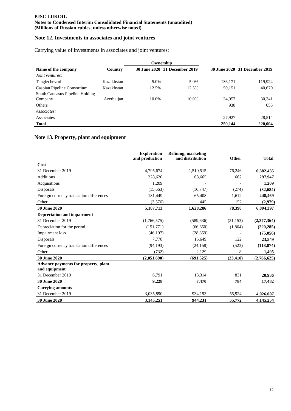## **Note 12. Investments in associates and joint ventures**

Carrying value of investments in associates and joint ventures:

|                                 |            |       | Ownership                     |         |                               |
|---------------------------------|------------|-------|-------------------------------|---------|-------------------------------|
| Name of the company             | Country    |       | 30 June 2020 31 December 2019 |         | 30 June 2020 31 December 2019 |
| Joint ventures:                 |            |       |                               |         |                               |
| Tengizchevroil                  | Kazakhstan | 5.0%  | 5.0%                          | 136,171 | 119,924                       |
| Caspian Pipeline Consortium     | Kazakhstan | 12.5% | 12.5%                         | 50,151  | 40,670                        |
| South Caucasus Pipeline Holding |            |       |                               |         |                               |
| Company                         | Azerbaijan | 10.0% | 10.0%                         | 34,957  | 30,241                        |
| <b>Others</b>                   |            |       |                               | 938     | 655                           |
| Associates:                     |            |       |                               |         |                               |
| Associates                      |            |       |                               | 27,927  | 28,514                        |
| <b>Total</b>                    |            |       |                               | 250,144 | 220,004                       |

# **Note 13. Property, plant and equipment**

|                                                       | <b>Exploration</b><br>and production | Refining, marketing<br>and distribution | <b>Other</b> | <b>Total</b> |
|-------------------------------------------------------|--------------------------------------|-----------------------------------------|--------------|--------------|
| Cost                                                  |                                      |                                         |              |              |
| 31 December 2019                                      | 4,795,674                            | 1,510,515                               | 76,246       | 6,382,435    |
| <b>Additions</b>                                      | 228,620                              | 68,665                                  | 662          | 297,947      |
| Acquisitions                                          | 1,209                                |                                         |              | 1,209        |
| Disposals                                             | (15,663)                             | (16,747)                                | (274)        | (32, 684)    |
| Foreign currency translation differences              | 181,449                              | 65,408                                  | 1,612        | 248,469      |
| Other                                                 | (3,576)                              | 445                                     | 152          | (2,979)      |
| 30 June 2020                                          | 5,187,713                            | 1,628,286                               | 78,398       | 6,894,397    |
| <b>Depreciation and impairment</b>                    |                                      |                                         |              |              |
| 31 December 2019                                      | (1,766,575)                          | (589, 636)                              | (21, 153)    | (2,377,364)  |
| Depreciation for the period                           | (151,771)                            | (66, 650)                               | (1, 864)     | (220, 285)   |
| Impairment loss                                       | (46, 197)                            | (28, 859)                               |              | (75,056)     |
| Disposals                                             | 7,778                                | 15,649                                  | 122          | 23,549       |
| Foreign currency translation differences              | (94, 193)                            | (24, 158)                               | (523)        | (118, 874)   |
| Other                                                 | (732)                                | 2,129                                   | 8            | 1,405        |
| 30 June 2020                                          | (2,051,690)                          | (691, 525)                              | (23, 410)    | (2,766,625)  |
| Advance payments for property, plant<br>and equipment |                                      |                                         |              |              |
| 31 December 2019                                      | 6,791                                | 13,314                                  | 831          | 20,936       |
| 30 June 2020                                          | 9,228                                | 7.470                                   | 784          | 17,482       |
| <b>Carrying amounts</b>                               |                                      |                                         |              |              |
| 31 December 2019                                      | 3,035,890                            | 934,193                                 | 55,924       | 4,026,007    |
| 30 June 2020                                          | 3,145,251                            | 944,231                                 | 55,772       | 4, 145, 254  |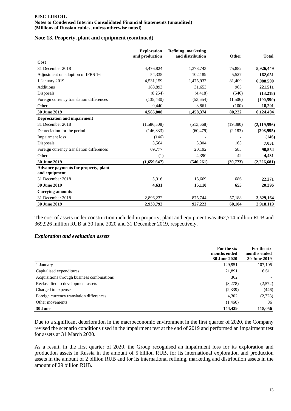## **Note 13. Property, plant and equipment (сontinued)**

|                                                       | <b>Exploration</b> | Refining, marketing |          |               |
|-------------------------------------------------------|--------------------|---------------------|----------|---------------|
|                                                       | and production     | and distribution    | Other    | <b>Total</b>  |
| Cost                                                  |                    |                     |          |               |
| 31 December 2018                                      | 4,476,824          | 1,373,743           | 75,882   | 5,926,449     |
| Adjustment on adoption of IFRS 16                     | 54,335             | 102,189             | 5,527    | 162,051       |
| 1 January 2019                                        | 4,531,159          | 1,475,932           | 81,409   | 6,088,500     |
| <b>Additions</b>                                      | 188,893            | 31,653              | 965      | 221,511       |
| Disposals                                             | (8,254)            | (4, 418)            | (546)    | (13,218)      |
| Foreign currency translation differences              | (135, 430)         | (53, 654)           | (1,506)  | (190, 590)    |
| Other                                                 | 9,440              | 8,861               | (100)    | 18,201        |
| 30 June 2019                                          | 4,585,808          | 1,458,374           | 80,222   | 6,124,404     |
| <b>Depreciation and impairment</b>                    |                    |                     |          |               |
| 31 December 2018                                      | (1,586,508)        | (513,668)           | (19,380) | (2, 119, 556) |
| Depreciation for the period                           | (146, 333)         | (60, 479)           | (2,183)  | (208,995)     |
| Impairment loss                                       | (146)              |                     |          | (146)         |
| Disposals                                             | 3,564              | 3,304               | 163      | 7,031         |
| Foreign currency translation differences              | 69,777             | 20,192              | 585      | 90,554        |
| Other                                                 | (1)                | 4,390               | 42       | 4,431         |
| 30 June 2019                                          | (1,659,647)        | (546, 261)          | (20,773) | (2, 226, 681) |
| Advance payments for property, plant<br>and equipment |                    |                     |          |               |
| 31 December 2018                                      | 5,916              | 15,669              | 686      | 22,271        |
| 30 June 2019                                          | 4,631              | 15,110              | 655      | 20,396        |
| <b>Carrying amounts</b>                               |                    |                     |          |               |
| 31 December 2018                                      | 2,896,232          | 875,744             | 57,188   | 3,829,164     |
| <b>30 June 2019</b>                                   | 2,930,792          | 927,223             | 60,104   | 3,918,119     |

The cost of assets under construction included in property, plant and equipment was 462,714 million RUB and 369,926 million RUB at 30 June 2020 and 31 December 2019, respectively.

## *Exploration and evaluation assets*

|                                            | For the six<br>months ended<br><b>30 June 2020</b> | For the six<br>months ended<br>30 June 2019 |
|--------------------------------------------|----------------------------------------------------|---------------------------------------------|
| 1 January                                  | 129,951                                            | 107,105                                     |
| Capitalised expenditures                   | 21,891                                             | 16,611                                      |
| Acquisitions through business combinations | 362                                                |                                             |
| Reclassified to development assets         | (8,278)                                            | (2,572)                                     |
| Charged to expenses                        | (2,339)                                            | (446)                                       |
| Foreign currency translation differences   | 4,302                                              | (2,728)                                     |
| Other movements                            | (1,460)                                            | 86                                          |
| 30 June                                    | 144,429                                            | 118,056                                     |

Due to a significant deterioration in the macroeconomic environment in the first quarter of 2020, the Company revised the scenario conditions used in the impairment test at the end of 2019 and performed an impairment test for assets at 31 March 2020.

As a result, in the first quarter of 2020, the Group recognised an impairment loss for its exploration and production assets in Russia in the amount of 5 billion RUB, for its international exploration and production assets in the amount of 2 billion RUB and for its international refining, marketing and distribution assets in the amount of 29 billion RUB.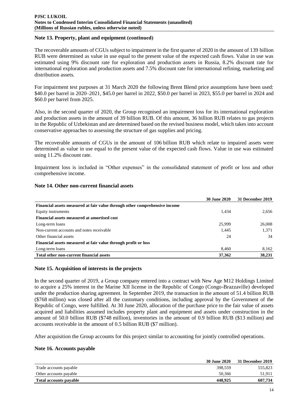## **Note 13. Property, plant and equipment (сontinued)**

The recoverable amounts of CGUs subject to impairment in the first quarter of 2020 in the amount of 139 billion RUB were determined as value in use equal to the present value of the expected cash flows. Value in use was estimated using 9% discount rate for exploration and production assets in Russia, 8.2% discount rate for international exploration and production assets and 7.5% discount rate for international refining, marketing and distribution assets.

For impairment test purposes at 31 March 2020 the following Brent Blend price assumptions have been used: \$40.0 per barrel in 2020–2021, \$45.0 per barrel in 2022, \$50.0 per barrel in 2023, \$55.0 per barrel in 2024 and \$60.0 per barrel from 2025.

Also, in the second quarter of 2020, the Group recognised an impairment loss for its international exploration and production assets in the amount of 39 billion RUB. Of this amount, 36 billion RUB relates to gas projects in the Republic of Uzbekistan and are determined based on the revised business model, which takes into account conservative approaches to assessing the structure of gas supplies and pricing.

The recoverable amounts of CGUs in the amount of 106 billion RUB which relate to impaired assets were determined as value in use equal to the present value of the expected cash flows. Value in use was estimated using 11.2% discount rate.

Impairment loss is included in "Other expenses" in the consolidated statement of profit or loss and other comprehensive income.

|                                                                            | <b>30 June 2020</b> | 31 December 2019 |
|----------------------------------------------------------------------------|---------------------|------------------|
| Financial assets measured at fair value through other comprehensive income |                     |                  |
| Equity instruments                                                         | 1.434               | 2.656            |
| Financial assets measured at amortised cost                                |                     |                  |
| Long-term loans                                                            | 25,999              | 26,008           |
| Non-current accounts and notes receivable                                  | 1,445               | 1,371            |
| Other financial assets                                                     | 24                  | 34               |
| Financial assets measured at fair value through profit or loss             |                     |                  |
| Long-term loans                                                            | 8,460               | 8,162            |
| Total other non-current financial assets                                   | 37,362              | 38,231           |

## **Note 14. Other non-current financial assets**

# **Note 15. Acquisition of interests in the projects**

In the second quarter of 2019, a Group company entered into a contract with New Age M12 Holdings Limited to acquire a 25% interest in the Marine XII license in the Republic of Congo (Congo-Brazzaville) developed under the production sharing agreement. In September 2019, the transaction in the amount of 51.4 billion RUB (\$768 million) was closed after all the customary conditions, including approval by the Government of the Republic of Congo, were fulfilled. At 30 June 2020, allocation of the purchase price to the fair value of assets acquired and liabilities assumed includes property plant and equipment and assets under construction in the amount of 50.0 billion RUB (\$748 million), inventories in the amount of 0.9 billion RUB (\$13 million) and accounts receivable in the amount of 0.5 billion RUB (\$7 million).

After acquisition the Group accounts for this project similar to accounting for jointly controlled operations.

## **Note 16. Accounts payable**

|                        | <b>30 June 2020</b> | 31 December 2019 |
|------------------------|---------------------|------------------|
| Trade accounts payable | 398.559             | 555.823          |
| Other accounts payable | 50,366              | 51.911           |
| Total accounts payable | 448.925             | 607.734          |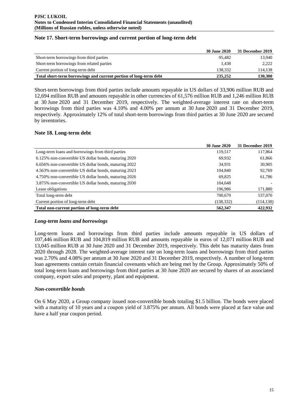|                                                                   | 30 June 2020 | 31 December 2019 |
|-------------------------------------------------------------------|--------------|------------------|
| Short-term borrowings from third parties                          | 95.482       | 13.940           |
| Short-term borrowings from related parties                        | 1.438        | 2.222            |
| Current portion of long-term debt                                 | 138.332      | 114,138          |
| Total short-term borrowings and current portion of long-term debt | 235,252      | 130,300          |

## **Note 17. Short-term borrowings and current portion of long-term debt**

Short-term borrowings from third parties include amounts repayable in US dollars of 33,906 million RUB and 12,694 million RUB and amounts repayable in other currencies of 61,576 million RUB and 1,246 million RUB at 30 June 2020 and 31 December 2019, respectively. The weighted-average interest rate on short-term borrowings from third parties was 4.10% and 4.00% per annum at 30 June 2020 and 31 December 2019, respectively. Approximately 12% of total short-term borrowings from third parties at 30 June 2020 are secured by inventories.

## **Note 18. Long-term debt**

|                                                       | <b>30 June 2020</b> | 31 December 2019 |
|-------------------------------------------------------|---------------------|------------------|
| Long-term loans and borrowings from third parties     | 119,517             | 117,864          |
| 6.125% non-convertible US dollar bonds, maturing 2020 | 69,932              | 61,866           |
| 6.656% non-convertible US dollar bonds, maturing 2022 | 34.931              | 30,905           |
| 4.563% non-convertible US dollar bonds, maturing 2023 | 104,840             | 92,769           |
| 4.750% non-convertible US dollar bonds, maturing 2026 | 69,825              | 61,786           |
| 3.875% non-convertible US dollar bonds, maturing 2030 | 104,648             |                  |
| Lease obligations                                     | 196,986             | 171,880          |
| Total long-term debt                                  | 700.679             | 537,070          |
| Current portion of long-term debt                     | (138, 332)          | (114, 138)       |
| Total non-current portion of long-term debt           | 562,347             | 422,932          |

## *Long-term loans and borrowings*

Long-term loans and borrowings from third parties include amounts repayable in US dollars of 107,446 million RUB and 104,819 million RUB and amounts repayable in euros of 12,071 million RUB and 13,045 million RUB at 30 June 2020 and 31 December 2019, respectively. This debt has maturity dates from 2020 through 2028. The weighted-average interest rate on long-term loans and borrowings from third parties was 2.70% and 4.08% per annum at 30 June 2020 and 31 December 2019, respectively. A number of long-term loan agreements contain certain financial covenants which are being met by the Group. Approximately 50% of total long-term loans and borrowings from third parties at 30 June 2020 are secured by shares of an associated company, export sales and property, plant and equipment.

## *Non-convertible bonds*

On 6 May 2020, a Group company issued non-convertible bonds totaling \$1.5 billion. The bonds were placed with a maturity of 10 years and a coupon yield of 3.875% per annum. All bonds were placed at face value and have a half year coupon period.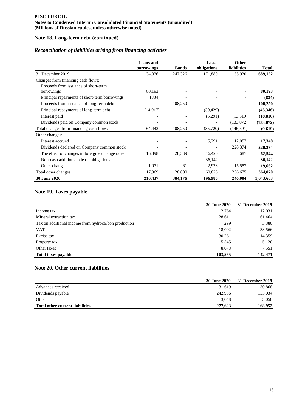# **Note 18. Long-term debt (сontinued)**

## *Reconciliation of liabilities arising from financing activities*

|                                                 | <b>Loans</b> and<br>borrowings | <b>Bonds</b> | Lease<br>obligations | <b>Other</b><br>liabilities | Total     |
|-------------------------------------------------|--------------------------------|--------------|----------------------|-----------------------------|-----------|
| 31 December 2019                                | 134,026                        | 247,326      | 171,880              | 135,920                     | 689,152   |
| Changes from financing cash flows:              |                                |              |                      |                             |           |
| Proceeds from issuance of short-term            |                                |              |                      |                             |           |
| borrowings                                      | 80,193                         |              |                      |                             | 80,193    |
| Principal repayments of short-term borrowings   | (834)                          |              |                      |                             | (834)     |
| Proceeds from issuance of long-term debt        |                                | 108,250      |                      |                             | 108,250   |
| Principal repayments of long-term debt          | (14, 917)                      |              | (30, 429)            |                             | (45,346)  |
| Interest paid                                   |                                |              | (5,291)              | (13,519)                    | (18, 810) |
| Dividends paid on Company common stock          |                                |              |                      | (133,072)                   | (133,072) |
| Total changes from financing cash flows         | 64.442                         | 108,250      | (35, 720)            | (146, 591)                  | (9,619)   |
| Other changes:                                  |                                |              |                      |                             |           |
| Interest accrued                                |                                |              | 5,291                | 12,057                      | 17,348    |
| Dividends declared on Company common stock      |                                |              |                      | 228,374                     | 228,374   |
| The effect of changes in foreign exchange rates | 16,898                         | 28,539       | 16,420               | 687                         | 62,544    |
| Non-cash additions to lease obligations         |                                |              | 36,142               |                             | 36,142    |
| Other changes                                   | 1,071                          | 61           | 2,973                | 15,557                      | 19,662    |
| Total other changes                             | 17,969                         | 28,600       | 60,826               | 256,675                     | 364,070   |
| 30 June 2020                                    | 216,437                        | 384,176      | 196,986              | 246,004                     | 1,043,603 |

# **Note 19. Taxes payable**

|                                                      | <b>30 June 2020</b> | 31 December 2019 |
|------------------------------------------------------|---------------------|------------------|
| Income tax                                           | 12,764              | 12,031           |
| Mineral extraction tax                               | 28,611              | 61,464           |
| Tax on additional income from hydrocarbon production | 299                 | 3,380            |
| <b>VAT</b>                                           | 18,002              | 38,566           |
| Excise tax                                           | 30,261              | 14,359           |
| Property tax                                         | 5,545               | 5,120            |
| Other taxes                                          | 8,073               | 7,551            |
| <b>Total taxes payable</b>                           | 103,555             | 142,471          |

## **Note 20. Other current liabilities**

|                                 | 30 June 2020 | 31 December 2019 |
|---------------------------------|--------------|------------------|
| Advances received               | 31.619       | 30,868           |
| Dividends payable               | 242,956      | 135,034          |
| Other                           | 3.048        | 3,050            |
| Total other current liabilities | 277,623      | 168.952          |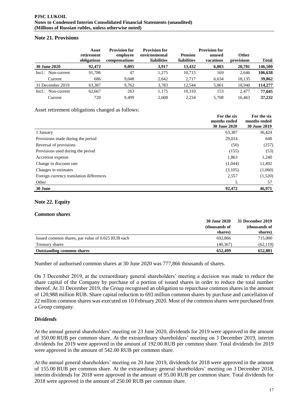## **Note 21. Provisions**

|                          | Asset<br>retirement<br>obligations | <b>Provision for</b><br>employee<br>compensations | <b>Provision for</b><br>environmental<br>liabilities | <b>Pension</b><br><b>liabilities</b> | <b>Provision for</b><br>unused<br>vacations | <b>Other</b><br>provisions | <b>Total</b> |
|--------------------------|------------------------------------|---------------------------------------------------|------------------------------------------------------|--------------------------------------|---------------------------------------------|----------------------------|--------------|
| 30 June 2020             | 92,472                             | 9.095                                             | 3,917                                                | 13,432                               | 6,803                                       | 20,781                     | 146,500      |
| Non-current<br>$Incl.$ : | 91.786                             | 47                                                | 1.275                                                | 10,715                               | 169                                         | 2,646                      | 106,638      |
| Current                  | 686                                | 9.048                                             | 2,642                                                | 2.717                                | 6,634                                       | 18,135                     | 39,862       |
| 31 December 2019         | 63.387                             | 9,762                                             | 3,783                                                | 12.544                               | 5.861                                       | 18.940                     | 114,277      |
| Non-current<br>$Incl.$ : | 62.667                             | 263                                               | 1.175                                                | 10.310                               | 153                                         | 2.477                      | 77,045       |
| Current                  | 720                                | 9.499                                             | 2,608                                                | 2.234                                | 5.708                                       | 16.463                     | 37,232       |

Asset retirement obligations changed as follows:

|                                          | For the six<br>months ended<br>30 June 2020 | For the six<br>months ended<br>30 June 2019 |
|------------------------------------------|---------------------------------------------|---------------------------------------------|
| 1 January                                | 63,387                                      | 36,424                                      |
| Provisions made during the period        | 29,014                                      | 648                                         |
| Reversal of provisions                   | (50)                                        | (257)                                       |
| Provisions used during the period        | (155)                                       | (53)                                        |
| Accretion expense                        | 1,863                                       | 1,240                                       |
| Change in discount rate                  | (1,044)                                     | 11,492                                      |
| Changes in estimates                     | (3,105)                                     | (1,060)                                     |
| Foreign currency translation differences | 2,557                                       | (1,520)                                     |
| Other                                    |                                             | 57                                          |
| 30 June                                  | 92,472                                      | 46,971                                      |

# **Note 22. Equity**

## *Common shares*

|                                                   | <b>30 June 2020</b> | 31 December 2019 |
|---------------------------------------------------|---------------------|------------------|
|                                                   | (thousands of       | (thousands of    |
|                                                   | shares)             | shares)          |
| Issued common shares, par value of 0.025 RUB each | 692.866             | 715,000          |
| Treasury shares                                   | (40.367)            | (62,119)         |
| <b>Outstanding common shares</b>                  | 652,499             | 652.881          |

Number of authorised common shares at 30 June 2020 was 777,866 thousands of shares.

On 3 December 2019, at the extraordinary general shareholders' meeting a decision was made to reduce the share capital of the Company by purchase of a portion of issued shares in order to reduce the total number thereof. At 31 December 2019, the Group recognised an obligation to repurchase common shares in the amount of 120,988 million RUB. Share capital reduction to 693 million common shares by purchase and cancellation of 22 million common shares was executed on 10 February 2020. Most of the common shares were purchased from a Group company.

## *Dividends*

At the annual general shareholders' meeting on 23 June 2020, dividends for 2019 were approved in the amount of 350.00 RUB per common share. At the extraordinary shareholders' meeting on 3 December 2019, interim dividends for 2019 were approved in the amount of 192.00 RUB per common share. Total dividends for 2019 were approved in the amount of 542.00 RUB per common share.

At the annual general shareholders' meeting on 20 June 2019, dividends for 2018 were approved in the amount of 155.00 RUB per common share. At the extraordinary general shareholders' meeting on 3 December 2018, interim dividends for 2018 were approved in the amount of 95.00 RUB per common share. Total dividends for 2018 were approved in the amount of 250.00 RUB per common share.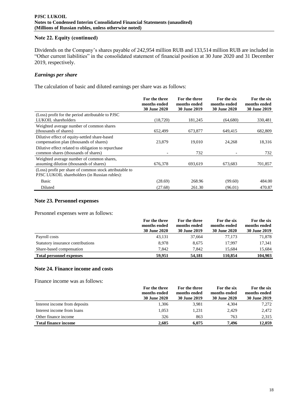## **Note 22. Equity (сontinued)**

Dividends on the Company's shares payable of 242,954 million RUB and 133,514 million RUB are included in "Other current liabilities" in the consolidated statement of financial position at 30 June 2020 and 31 December 2019, respectively.

## *Earnings per share*

The calculation of basic and diluted earnings per share was as follows:

|                                                         | For the three<br>months ended | For the three<br>months ended | For the six<br>months ended | For the six<br>months ended |
|---------------------------------------------------------|-------------------------------|-------------------------------|-----------------------------|-----------------------------|
|                                                         | <b>30 June 2020</b>           | <b>30 June 2019</b>           | <b>30 June 2020</b>         | <b>30 June 2019</b>         |
| (Loss) profit for the period attributable to PJSC       |                               |                               |                             |                             |
| LUKOIL shareholders                                     | (18, 720)                     | 181,245                       | (64,680)                    | 330,481                     |
| Weighted average number of common shares                |                               |                               |                             |                             |
| (thousands of shares)                                   | 652,499                       | 673,877                       | 649,415                     | 682,809                     |
| Dilutive effect of equity-settled share-based           |                               |                               |                             |                             |
| compensation plan (thousands of shares)                 | 23,879                        | 19,010                        | 24,268                      | 18,316                      |
| Dilutive effect related to obligation to repurchase     |                               |                               |                             |                             |
| common shares (thousands of shares)                     |                               | 732                           |                             | 732                         |
| Weighted average number of common shares,               |                               |                               |                             |                             |
| assuming dilution (thousands of shares)                 | 676,378                       | 693,619                       | 673,683                     | 701,857                     |
| (Loss) profit per share of common stock attributable to |                               |                               |                             |                             |
| PJSC LUKOIL shareholders (in Russian rubles):           |                               |                               |                             |                             |
| Basic                                                   | (28.69)                       | 268.96                        | (99.60)                     | 484.00                      |
| Diluted                                                 | (27.68)                       | 261.30                        | (96.01)                     | 470.87                      |

## **Note 23. Personnel expenses**

Personnel expenses were as follows:

|                                   | For the three | For the three       | For the six         | For the six  |
|-----------------------------------|---------------|---------------------|---------------------|--------------|
|                                   | months ended  | months ended        | months ended        | months ended |
|                                   | 30 June 2020  | <b>30 June 2019</b> | <b>30 June 2020</b> | 30 June 2019 |
| Payroll costs                     | 43.131        | 37,664              | 77.173              | 71,878       |
| Statutory insurance contributions | 8.978         | 8.675               | 17.997              | 17.341       |
| Share-based compensation          | 7.842         | 7.842               | 15.684              | 15,684       |
| <b>Total personnel expenses</b>   | 59,951        | 54.181              | 110,854             | 104.903      |

## **Note 24. Finance income and costs**

Finance income was as follows:

|                               | For the three       | For the three | For the six         | For the six         |
|-------------------------------|---------------------|---------------|---------------------|---------------------|
|                               | months ended        | months ended  | months ended        | months ended        |
|                               | <b>30 June 2020</b> | 30 June 2019  | <b>30 June 2020</b> | <b>30 June 2019</b> |
| Interest income from deposits | 1.306               | 3,981         | 4,304               | 7,272               |
| Interest income from loans    | 1,053               | 1.231         | 2,429               | 2,472               |
| Other finance income          | 326                 | 863           | 763                 | 2,315               |
| <b>Total finance income</b>   | 2.685               | 6.075         | 7.496               | 12,059              |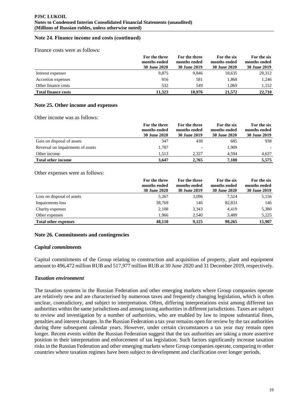## **Note 24. Finance income and costs (сontinued)**

Finance costs were as follows:

|                            | For the three<br>months ended<br><b>30 June 2020</b> | For the three<br>months ended<br>30 June 2019 | For the six<br>months ended<br><b>30 June 2020</b> | For the six<br>months ended<br>30 June 2019 |
|----------------------------|------------------------------------------------------|-----------------------------------------------|----------------------------------------------------|---------------------------------------------|
| Interest expenses          | 9,875                                                | 9.846                                         | 18,635                                             | 20,312                                      |
| Accretion expenses         | 916                                                  | 581                                           | 1.868                                              | 1,246                                       |
| Other finance costs        | 532                                                  | 549                                           | 1.069                                              | 1.152                                       |
| <b>Total finance costs</b> | 11,323                                               | 10,976                                        | 21,572                                             | 22,710                                      |

#### **Note 25. Other income and expenses**

Other income was as follows:

|                                   | For the three<br>months ended<br><b>30 June 2020</b> | For the three<br>months ended<br><b>30 June 2019</b> | For the six<br>months ended<br><b>30 June 2020</b> | For the six<br>months ended<br>30 June 2019 |
|-----------------------------------|------------------------------------------------------|------------------------------------------------------|----------------------------------------------------|---------------------------------------------|
| Gain on disposal of assets        | 347                                                  | 438                                                  | 685                                                | 938                                         |
| Reversal on impairments of assets | 1,787                                                | $\overline{\phantom{a}}$                             | 1.909                                              | $\overline{\phantom{a}}$                    |
| Other income                      | 1.513                                                | 2.327                                                | 4.594                                              | 4,637                                       |
| <b>Total other income</b>         | 3.647                                                | 2,765                                                | 7.188                                              | 5,575                                       |

#### Other expenses were as follows:

|                             | For the three<br>months ended<br><b>30 June 2020</b> | For the three<br>months ended<br><b>30 June 2019</b> | For the six<br>months ended<br><b>30 June 2020</b> | For the six<br>months ended<br>30 June 2019 |
|-----------------------------|------------------------------------------------------|------------------------------------------------------|----------------------------------------------------|---------------------------------------------|
| Loss on disposal of assets  | 5,267                                                | 3,096                                                | 7,524                                              | 5,156                                       |
| Impairments loss            | 38,769                                               | 146                                                  | 82,833                                             | 146                                         |
| Charity expenses            | 2,108                                                | 3,343                                                | 4,419                                              | 5,380                                       |
| Other expenses              | 1.966                                                | 2,540                                                | 3,489                                              | 5,225                                       |
| <b>Total other expenses</b> | 48,110                                               | 9,125                                                | 98,265                                             | 15,907                                      |

## **Note 26. Commitments and contingencies**

## *Capital commitments*

Capital commitments of the Group relating to construction and acquisition of property, plant and equipment amount to 496,472 million RUB and 517,977 million RUB at 30 June 2020 and 31 December 2019, respectively.

#### *Taxation environment*

The taxation systems in the Russian Federation and other emerging markets where Group companies operate are relatively new and are characterised by numerous taxes and frequently changing legislation, which is often unclear, contradictory, and subject to interpretation. Often, differing interpretations exist among different tax authorities within the same jurisdictions and among taxing authorities in different jurisdictions. Taxes are subject to review and investigation by a number of authorities, who are enabled by law to impose substantial fines, penalties and interest charges. In the Russian Federation a tax year remains open for review by the tax authorities during three subsequent calendar years. However, under certain circumstances a tax year may remain open longer. Recent events within the Russian Federation suggest that the tax authorities are taking a more assertive position in their interpretation and enforcement of tax legislation. Such factors significantly increase taxation risks in the Russian Federation and other emerging markets where Group companies operate, comparing to other countries where taxation regimes have been subject to development and clarification over longer periods.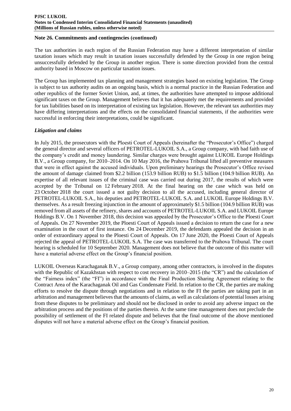## **Note 26. Commitments and contingencies (сontinued)**

The tax authorities in each region of the Russian Federation may have a different interpretation of similar taxation issues which may result in taxation issues successfully defended by the Group in one region being unsuccessfully defended by the Group in another region. There is some direction provided from the central authority based in Moscow on particular taxation issues.

The Group has implemented tax planning and management strategies based on existing legislation. The Group is subject to tax authority audits on an ongoing basis, which is a normal practice in the Russian Federation and other republics of the former Soviet Union, and, at times, the authorities have attempted to impose additional significant taxes on the Group. Management believes that it has adequately met the requirements and provided for tax liabilities based on its interpretation of existing tax legislation. However, the relevant tax authorities may have differing interpretations and the effects on the consolidated financial statements, if the authorities were successful in enforcing their interpretations, could be significant.

# *Litigation and claims*

In July 2015, the prosecutors with the Ploesti Court of Appeals (hereinafter the "Prosecutor's Office") charged the general director and several officers of PETROTEL-LUKOIL S.A., a Group company, with bad faith use of the company's credit and money laundering. Similar charges were brought against LUKOIL Europe Holdings B.V., a Group company, for 2010–2014. On 10 May 2016, the Prahova Tribunal lifted all preventive measures that were in effect against the accused individuals. Upon preliminary hearings the Prosecutor's Office revised the amount of damage claimed from \$2.2 billion (153.9 billion RUB) to \$1.5 billion (104.9 billion RUB). An expertise of all relevant issues of the criminal case was carried out during 2017, the results of which were accepted by the Tribunal on 12 February 2018. At the final hearing on the case which was held on 23 October 2018 the court issued a not guilty decision to all the accused, including general director of PETROTEL-LUKOIL S.A., his deputies and PETROTEL-LUKOIL S.A. and LUKOIL Europe Holdings B.V. themselves. As a result freezing injunction in the amount of approximately \$1.5 billion (104.9 billion RUB) was removed from all assets of the refinery, shares and accounts of PETROTEL-LUKOIL S.A. and LUKOIL Europe Holdings B.V. On 1 November 2018, this decision was appealed by the Prosecutor's Office to the Ploesti Court of Appeals. On 27 November 2019, the Ploesti Court of Appeals issued a decision to return the case for a new examination in the court of first instance. On 24 December 2019, the defendants appealed the decision in an order of extraordinary appeal to the Ploesti Court of Appeals. On 17 June 2020, the Ploesti Court of Appeals rejected the appeal of PETROTEL-LUKOIL S.A. The case was transferred to the Prahova Tribunal. The court hearing is scheduled for 10 September 2020. Management does not believe that the outcome of this matter will have a material adverse effect on the Group's financial position.

LUKOIL Overseas Karachaganak B.V., a Group company, among other contractors, is involved in the disputes with the Republic of Kazakhstan with respect to cost recovery in 2010–2015 (the "CR") and the calculation of the "Fairness index" (the "FI") in accordance with the Final Production Sharing Agreement relating to the Contract Area of the Karachaganak Oil and Gas Condensate Field. In relation to the CR, the parties are making efforts to resolve the dispute through negotiations and in relation to the FI the parties are taking part in an arbitration and management believes that the amounts of claims, as well as calculations of potential losses arising from these disputes to be preliminary and should not be disclosed in order to avoid any adverse impact on the arbitration process and the positions of the parties therein. At the same time management does not preclude the possibility of settlement of the FI related dispute and believes that the final outcome of the above mentioned disputes will not have a material adverse effect on the Group's financial position.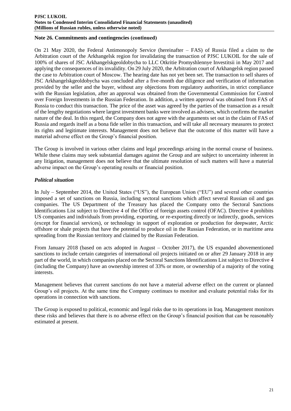## **Note 26. Commitments and contingencies (сontinued)**

On 21 May 2020, the Federal Antimonopoly Service (hereinafter – FAS) of Russia filed a claim to the Arbitration court of the Arkhangelsk region for invalidating the transaction of PJSC LUKOIL for the sale of 100% of shares of JSC Arkhangelskgeoldobycha to LLC Otkritie Promyshlennye Investitsii in May 2017 and applying the consequences of its invalidity. On 29 July 2020, the Arbitration court of Arkhangelsk region passed the case to Arbitration court of Moscow. The hearing date has not yet been set. The transaction to sell shares of JSC Arkhangelskgeoldobycha was concluded after a five-month due diligence and verification of information provided by the seller and the buyer, without any objections from regulatory authorities, in strict compliance with the Russian legislation, after an approval was obtained from the Governmental Commission for Control over Foreign Investments in the Russian Federation. In addition, a written approval was obtained from FAS of Russia to conduct this transaction. The price of the asset was agreed by the parties of the transaction as a result of the lengthy negotiations where largest investment banks were involved as advisers, which confirms the market nature of the deal. In this regard, the Company does not agree with the arguments set out in the claim of FAS of Russia and regards itself as a bona fide seller in this transaction, and will take all necessary measures to protect its rights and legitimate interests. Management does not believe that the outcome of this matter will have a material adverse effect on the Group's financial position.

The Group is involved in various other claims and legal proceedings arising in the normal course of business. While these claims may seek substantial damages against the Group and are subject to uncertainty inherent in any litigation, management does not believe that the ultimate resolution of such matters will have a material adverse impact on the Group's operating results or financial position.

## *Political situation*

In July – September 2014, the United States ("US"), the European Union ("EU") and several other countries imposed a set of sanctions on Russia, including sectoral sanctions which affect several Russian oil and gas companies. The US Department of the Treasury has placed the Company onto the Sectoral Sanctions Identifications List subject to Directive 4 of the Office of foreign assets control (OFAC). Directive 4 prohibits US companies and individuals from providing, exporting, or re-exporting directly or indirectly, goods, services (except for financial services), or technology in support of exploration or production for deepwater, Arctic offshore or shale projects that have the potential to produce oil in the Russian Federation, or in maritime area spreading from the Russian territory and claimed by the Russian Federation.

From January 2018 (based on acts adopted in August – October 2017), the US expanded abovementioned sanctions to include certain categories of international oil projects initiated on or after 29 January 2018 in any part of the world, in which companies placed on the Sectoral Sanctions Identifications List subject to Directive 4 (including the Company) have an ownership interest of 33% or more, or ownership of a majority of the voting interests.

Management believes that current sanctions do not have a material adverse effect on the current or planned Group's oil projects. At the same time the Company continues to monitor and evaluate potential risks for its operations in connection with sanctions.

The Group is exposed to political, economic and legal risks due to its operations in Iraq. Management monitors these risks and believes that there is no adverse effect on the Group's financial position that can be reasonably estimated at present.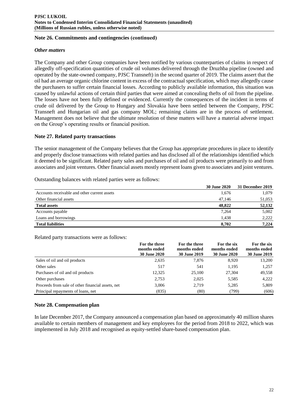## **Note 26. Commitments and contingencies (сontinued)**

## *Other matters*

The Company and other Group companies have been notified by various counterparties of claims in respect of allegedly off-specification quantities of crude oil volumes delivered through the Druzhba pipeline (owned and operated by the state-owned company, PJSC Transneft) in the second quarter of 2019. The claims assert that the oil had an average organic chlorine content in excess of the contractual specification, which may allegedly cause the purchasers to suffer certain financial losses. According to publicly available information, this situation was caused by unlawful actions of certain third parties that were aimed at concealing thefts of oil from the pipeline. The losses have not been fully defined or evidenced. Currently the consequences of the incident in terms of crude oil delivered by the Group to Hungary and Slovakia have been settled between the Company, PJSC Transneft and Hungarian oil and gas company MOL; remaining claims are in the process of settlement. Management does not believe that the ultimate resolution of these matters will have a material adverse impact on the Group's operating results or financial position.

# **Note 27. Related party transactions**

The senior management of the Company believes that the Group has appropriate procedures in place to identify and properly disclose transactions with related parties and has disclosed all of the relationships identified which it deemed to be significant. Related party sales and purchases of oil and oil products were primarily to and from associates and joint ventures. Other financial assets mostly represent loans given to associates and joint ventures.

|                                              | <b>30 June 2020</b> | 31 December 2019 |
|----------------------------------------------|---------------------|------------------|
| Accounts receivable and other current assets | 1,676               | 1,079            |
| Other financial assets                       | 47,146              | 51,053           |
| <b>Total assets</b>                          | 48,822              | 52,132           |
| Accounts payable                             | 7,264               | 5,002            |
| Loans and borrowings                         | 1.438               | 2.222            |
| <b>Total liabilities</b>                     | 8.702               | 7.224            |
|                                              |                     |                  |

Outstanding balances with related parties were as follows:

Related party transactions were as follows:

|                                                   | For the three<br>months ended<br><b>30 June 2020</b> | For the three<br>months ended<br><b>30 June 2019</b> | For the six<br>months ended<br><b>30 June 2020</b> | For the six<br>months ended<br>30 June 2019 |
|---------------------------------------------------|------------------------------------------------------|------------------------------------------------------|----------------------------------------------------|---------------------------------------------|
| Sales of oil and oil products                     | 2,635                                                | 7,876                                                | 8,920                                              | 13,200                                      |
| Other sales                                       | 517                                                  | 541                                                  | 1.195                                              | 1.257                                       |
| Purchases of oil and oil products                 | 12,325                                               | 25,100                                               | 27,304                                             | 49,558                                      |
| Other purchases                                   | 2,753                                                | 2,025                                                | 5,585                                              | 4,222                                       |
| Proceeds from sale of other financial assets, net | 3,006                                                | 2,719                                                | 5,285                                              | 5,809                                       |
| Principal repayments of loans, net                | (835)                                                | (80)                                                 | (799)                                              | (606)                                       |

# **Note 28. Compensation plan**

In late December 2017, the Company announced a compensation plan based on approximately 40 million shares available to certain members of management and key employees for the period from 2018 to 2022, which was implemented in July 2018 and recognised as equity-settled share-based compensation plan.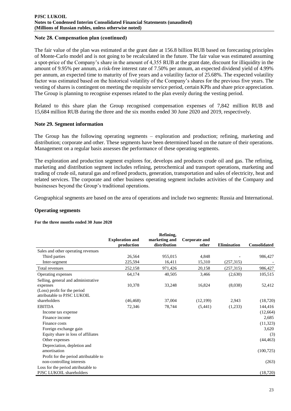## **Note 28. Compensation plan (сontinued)**

The fair value of the plan was estimated at the grant date at 156.8 billion RUB based on forecasting principles of Monte-Carlo model and is not going to be recalculated in the future. The fair value was estimated assuming a spot-price of the Company's share in the amount of 4,355 RUB at the grant date, discount for illiquidity in the amount of 9.95% per annum, a risk-free interest rate of 7.50% per annum, an expected dividend yield of 4.99% per annum, an expected time to maturity of five years and a volatility factor of 25.68%. The expected volatility factor was estimated based on the historical volatility of the Company's shares for the previous five years. The vesting of shares is contingent on meeting the requisite service period, certain KPIs and share price appreciation. The Group is planning to recognise expenses related to the plan evenly during the vesting period.

Related to this share plan the Group recognised compensation expenses of 7,842 million RUB and 15,684 million RUB during the three and the six months ended 30 June 2020 and 2019, respectively.

## **Note 29. Segment information**

The Group has the following operating segments – exploration and production; refining, marketing and distribution; corporate and other. These segments have been determined based on the nature of their operations. Management on a regular basis assesses the performance of these operating segments.

The exploration and production segment explores for, develops and produces crude oil and gas. The refining, marketing and distribution segment includes refining, petrochemical and transport operations, marketing and trading of crude oil, natural gas and refined products, generation, transportation and sales of electricity, heat and related services. The corporate and other business operating segment includes activities of the Company and businesses beyond the Group's traditional operations.

Geographical segments are based on the area of operations and include two segments: Russia and International.

## **Operating segments**

#### **For the three months ended 30 June 2020**

|                                       |                                      | Refining,                     |                               |                    |                     |
|---------------------------------------|--------------------------------------|-------------------------------|-------------------------------|--------------------|---------------------|
|                                       | <b>Exploration and</b><br>production | marketing and<br>distribution | <b>Corporate and</b><br>other | <b>Elimination</b> | <b>Consolidated</b> |
| Sales and other operating revenues    |                                      |                               |                               |                    |                     |
| Third parties                         | 26,564                               | 955,015                       | 4,848                         |                    | 986,427             |
| Inter-segment                         | 225,594                              | 16,411                        | 15,310                        | (257, 315)         |                     |
| Total revenues                        | 252,158                              | 971,426                       | 20,158                        | (257, 315)         | 986,427             |
| Operating expenses                    | 64,174                               | 40,505                        | 3,466                         | (2,630)            | 105,515             |
| Selling, general and administrative   |                                      |                               |                               |                    |                     |
| expenses                              | 10,378                               | 33,248                        | 16,824                        | (8,038)            | 52,412              |
| (Loss) profit for the period          |                                      |                               |                               |                    |                     |
| attributable to PJSC LUKOIL           |                                      |                               |                               |                    |                     |
| shareholders                          | (46, 468)                            | 37,004                        | (12,199)                      | 2,943              | (18, 720)           |
| <b>EBITDA</b>                         | 72,346                               | 78,744                        | (5,441)                       | (1,233)            | 144,416             |
| Income tax expense                    |                                      |                               |                               |                    | (12, 664)           |
| Finance income                        |                                      |                               |                               |                    | 2,685               |
| Finance costs                         |                                      |                               |                               |                    | (11, 323)           |
| Foreign exchange gain                 |                                      |                               |                               |                    | 3,620               |
| Equity share in loss of affiliates    |                                      |                               |                               |                    | (3)                 |
| Other expenses                        |                                      |                               |                               |                    | (44, 463)           |
| Depreciation, depletion and           |                                      |                               |                               |                    |                     |
| amortisation                          |                                      |                               |                               |                    | (100, 725)          |
| Profit for the period attributable to |                                      |                               |                               |                    |                     |
| non-controlling interests             |                                      |                               |                               |                    | (263)               |
| Loss for the period attributable to   |                                      |                               |                               |                    |                     |
| PJSC LUKOIL shareholders              |                                      |                               |                               |                    | (18, 720)           |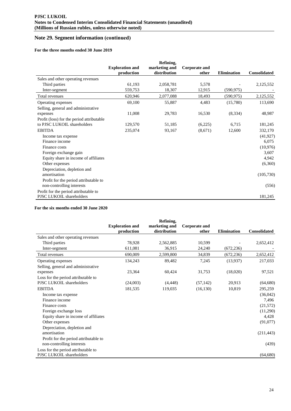#### **For the three months ended 30 June 2019**

|                                           | <b>Exploration and</b> | Refining,<br>marketing and | <b>Corporate and</b> |                    |                     |
|-------------------------------------------|------------------------|----------------------------|----------------------|--------------------|---------------------|
|                                           | production             | distribution               | other                | <b>Elimination</b> | <b>Consolidated</b> |
| Sales and other operating revenues        |                        |                            |                      |                    |                     |
| Third parties                             | 61,193                 | 2,058,781                  | 5,578                |                    | 2,125,552           |
| Inter-segment                             | 559,753                | 18,307                     | 12,915               | (590, 975)         |                     |
| Total revenues                            | 620,946                | 2,077,088                  | 18,493               | (590, 975)         | 2,125,552           |
| Operating expenses                        | 69,100                 | 55,887                     | 4,483                | (15,780)           | 113,690             |
| Selling, general and administrative       |                        |                            |                      |                    |                     |
| expenses                                  | 11,008                 | 29,783                     | 16,530               | (8, 334)           | 48,987              |
| Profit (loss) for the period attributable |                        |                            |                      |                    |                     |
| to PJSC LUKOIL shareholders               | 129,570                | 51,185                     | (6,225)              | 6,715              | 181,245             |
| <b>EBITDA</b>                             | 235,074                | 93,167                     | (8,671)              | 12,600             | 332,170             |
| Income tax expense                        |                        |                            |                      |                    | (41, 927)           |
| Finance income                            |                        |                            |                      |                    | 6,075               |
| Finance costs                             |                        |                            |                      |                    | (10,976)            |
| Foreign exchange gain                     |                        |                            |                      |                    | 3,607               |
| Equity share in income of affiliates      |                        |                            |                      |                    | 4,942               |
| Other expenses                            |                        |                            |                      |                    | (6,360)             |
| Depreciation, depletion and               |                        |                            |                      |                    |                     |
| amortisation                              |                        |                            |                      |                    | (105,730)           |
| Profit for the period attributable to     |                        |                            |                      |                    |                     |
| non-controlling interests                 |                        |                            |                      |                    | (556)               |
| Profit for the period attributable to     |                        |                            |                      |                    |                     |
| PJSC LUKOIL shareholders                  |                        |                            |                      |                    | 181,245             |

#### **For the six months ended 30 June 2020**

|                                                                    | <b>Exploration and</b><br>production | Refining,<br>marketing and<br>distribution | <b>Corporate and</b><br>other | <b>Elimination</b> | <b>Consolidated</b> |
|--------------------------------------------------------------------|--------------------------------------|--------------------------------------------|-------------------------------|--------------------|---------------------|
| Sales and other operating revenues                                 |                                      |                                            |                               |                    |                     |
| Third parties                                                      | 78,928                               | 2,562,885                                  | 10,599                        |                    | 2,652,412           |
| Inter-segment                                                      | 611,081                              | 36,915                                     | 24,240                        | (672, 236)         |                     |
| Total revenues                                                     | 690,009                              | 2,599,800                                  | 34,839                        | (672, 236)         | 2,652,412           |
| Operating expenses                                                 | 134,243                              | 89,482                                     | 7,245                         | (13,937)           | 217,033             |
| Selling, general and administrative                                |                                      |                                            |                               |                    |                     |
| expenses                                                           | 23,364                               | 60,424                                     | 31,753                        | (18,020)           | 97,521              |
| Loss for the period attributable to<br>PJSC LUKOIL shareholders    | (24,003)                             | (4, 448)                                   | (57, 142)                     | 20,913             | (64, 680)           |
| <b>EBITDA</b>                                                      | 181,535                              | 119,035                                    | (16, 130)                     | 10,819             | 295,259             |
| Income tax expense                                                 |                                      |                                            |                               |                    | (36,042)            |
| Finance income                                                     |                                      |                                            |                               |                    | 7,496               |
| Finance costs                                                      |                                      |                                            |                               |                    | (21, 572)           |
| Foreign exchange loss                                              |                                      |                                            |                               |                    | (11,290)            |
| Equity share in income of affiliates                               |                                      |                                            |                               |                    | 4,428               |
| Other expenses                                                     |                                      |                                            |                               |                    | (91,077)            |
| Depreciation, depletion and<br>amortisation                        |                                      |                                            |                               |                    | (211, 443)          |
| Profit for the period attributable to<br>non-controlling interests |                                      |                                            |                               |                    | (439)               |
| Loss for the period attributable to<br>PJSC LUKOIL shareholders    |                                      |                                            |                               |                    | (64, 680)           |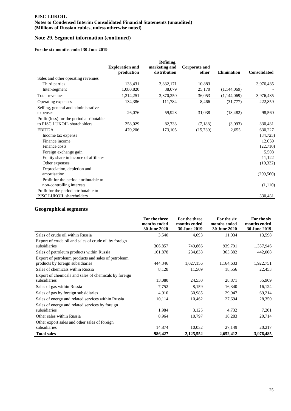#### **For the six months ended 30 June 2019**

|                                                                    | <b>Exploration and</b><br>production | Refining,<br>marketing and<br>distribution | Corporate and<br>other | <b>Elimination</b> | <b>Consolidated</b> |
|--------------------------------------------------------------------|--------------------------------------|--------------------------------------------|------------------------|--------------------|---------------------|
| Sales and other operating revenues                                 |                                      |                                            |                        |                    |                     |
| Third parties                                                      | 133,431                              | 3,832,171                                  | 10,883                 |                    | 3,976,485           |
| Inter-segment                                                      | 1,080,820                            | 38,079                                     | 25,170                 | (1,144,069)        |                     |
| Total revenues                                                     | 1,214,251                            | 3,870,250                                  | 36,053                 | (1,144,069)        | 3,976,485           |
| Operating expenses                                                 | 134,386                              | 111,784                                    | 8,466                  | (31,777)           | 222,859             |
| Selling, general and administrative                                |                                      |                                            |                        |                    |                     |
| expenses                                                           | 26,076                               | 59,928                                     | 31,038                 | (18, 482)          | 98,560              |
| Profit (loss) for the period attributable                          |                                      |                                            |                        |                    |                     |
| to PJSC LUKOIL shareholders                                        | 258,029                              | 82,733                                     | (7,188)                | (3,093)            | 330,481             |
| <b>EBITDA</b>                                                      | 470,206                              | 173,105                                    | (15,739)               | 2,655              | 630,227             |
| Income tax expense                                                 |                                      |                                            |                        |                    | (84, 723)           |
| Finance income                                                     |                                      |                                            |                        |                    | 12,059              |
| Finance costs                                                      |                                      |                                            |                        |                    | (22,710)            |
| Foreign exchange gain                                              |                                      |                                            |                        |                    | 5,508               |
| Equity share in income of affiliates                               |                                      |                                            |                        |                    | 11,122              |
| Other expenses                                                     |                                      |                                            |                        |                    | (10, 332)           |
| Depreciation, depletion and                                        |                                      |                                            |                        |                    |                     |
| amortisation                                                       |                                      |                                            |                        |                    | (209, 560)          |
| Profit for the period attributable to<br>non-controlling interests |                                      |                                            |                        |                    | (1,110)             |
| Profit for the period attributable to                              |                                      |                                            |                        |                    |                     |
| PJSC LUKOIL shareholders                                           |                                      |                                            |                        |                    | 330,481             |

## **Geographical segments**

|                                                                                         | For the three<br>months ended<br><b>30 June 2020</b> | For the three<br>months ended<br><b>30 June 2019</b> | For the six<br>months ended<br><b>30 June 2020</b> | For the six<br>months ended<br><b>30 June 2019</b> |
|-----------------------------------------------------------------------------------------|------------------------------------------------------|------------------------------------------------------|----------------------------------------------------|----------------------------------------------------|
| Sales of crude oil within Russia                                                        | 3,540                                                | 4,093                                                | 11,034                                             | 13,598                                             |
| Export of crude oil and sales of crude oil by foreign<br>subsidiaries                   | 306,857                                              | 749,866                                              | 939,791                                            | 1,357,946                                          |
| Sales of petroleum products within Russia                                               | 161,878                                              | 234,838                                              | 365,382                                            | 442,008                                            |
| Export of petroleum products and sales of petroleum<br>products by foreign subsidiaries | 444,346                                              | 1,027,156                                            | 1,164,633                                          | 1,922,751                                          |
| Sales of chemicals within Russia                                                        | 8,128                                                | 11,509                                               | 18,556                                             | 22,453                                             |
| Export of chemicals and sales of chemicals by foreign<br>subsidiaries                   | 13,080                                               | 24,530                                               | 28,871                                             | 55,909                                             |
| Sales of gas within Russia                                                              | 7,752                                                | 8,159                                                | 16,340                                             | 16,124                                             |
| Sales of gas by foreign subsidiaries                                                    | 4,910                                                | 30,985                                               | 29,947                                             | 69,214                                             |
| Sales of energy and related services within Russia                                      | 10,114                                               | 10,462                                               | 27,694                                             | 28,350                                             |
| Sales of energy and related services by foreign<br>subsidiaries                         | 1,984                                                | 3,125                                                | 4,732                                              | 7,201                                              |
| Other sales within Russia                                                               | 8,964                                                | 10,797                                               | 18,283                                             | 20,714                                             |
| Other export sales and other sales of foreign<br>subsidiaries                           | 14,874                                               | 10,032                                               | 27,149                                             | 20,217                                             |
| <b>Total sales</b>                                                                      | 986,427                                              | 2,125,552                                            | 2,652,412                                          | 3,976,485                                          |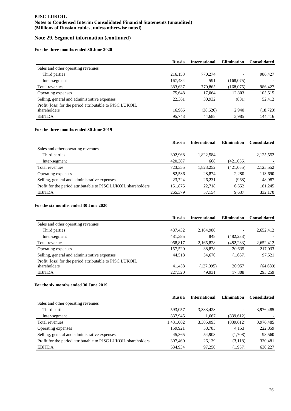#### **For the three months ended 30 June 2020**

|                                                          | <b>Russia</b> | <b>International</b> | <b>Elimination</b> | <b>Consolidated</b> |
|----------------------------------------------------------|---------------|----------------------|--------------------|---------------------|
| Sales and other operating revenues                       |               |                      |                    |                     |
| Third parties                                            | 216,153       | 770.274              |                    | 986,427             |
| Inter-segment                                            | 167,484       | 591                  | (168,075)          |                     |
| Total revenues                                           | 383,637       | 770,865              | (168,075)          | 986,427             |
| Operating expenses                                       | 75.648        | 17,064               | 12,803             | 105,515             |
| Selling, general and administrative expenses             | 22.361        | 30.932               | (881)              | 52,412              |
| Profit (loss) for the period attributable to PJSC LUKOIL |               |                      |                    |                     |
| shareholders                                             | 16,966        | (38,626)             | 2,940              | (18, 720)           |
| <b>EBITDA</b>                                            | 95.743        | 44,688               | 3,985              | 144.416             |

# **For the three months ended 30 June 2019**

|                                                                | <b>Russia</b> | <b>International</b> | <b>Elimination</b> | <b>Consolidated</b> |
|----------------------------------------------------------------|---------------|----------------------|--------------------|---------------------|
| Sales and other operating revenues                             |               |                      |                    |                     |
| Third parties                                                  | 302,968       | 1,822,584            |                    | 2,125,552           |
| Inter-segment                                                  | 420,387       | 668                  | (421, 055)         |                     |
| Total revenues                                                 | 723,355       | 1,823,252            | (421.055)          | 2,125,552           |
| Operating expenses                                             | 82.536        | 28,874               | 2.280              | 113,690             |
| Selling, general and administrative expenses                   | 23.724        | 26,231               | (968)              | 48,987              |
| Profit for the period attributable to PJSC LUKOIL shareholders | 151,875       | 22.718               | 6,652              | 181,245             |
| <b>EBITDA</b>                                                  | 265,379       | 57,154               | 9,637              | 332,170             |

#### **For the six months ended 30 June 2020**

|                                                          | <b>Russia</b> | <b>International</b> | <b>Elimination</b> | <b>Consolidated</b> |
|----------------------------------------------------------|---------------|----------------------|--------------------|---------------------|
| Sales and other operating revenues                       |               |                      |                    |                     |
| Third parties                                            | 487,432       | 2,164,980            |                    | 2,652,412           |
| Inter-segment                                            | 481,385       | 848                  | (482, 233)         |                     |
| Total revenues                                           | 968,817       | 2,165,828            | (482, 233)         | 2,652,412           |
| Operating expenses                                       | 157,520       | 38,878               | 20,635             | 217,033             |
| Selling, general and administrative expenses             | 44.518        | 54,670               | (1,667)            | 97,521              |
| Profit (loss) for the period attributable to PJSC LUKOIL |               |                      |                    |                     |
| shareholders                                             | 41.458        | (127,095)            | 20,957             | (64,680)            |
| <b>EBITDA</b>                                            | 227,520       | 49.931               | 17.808             | 295,259             |

#### **For the six months ended 30 June 2019**

|                                                                | <b>Russia</b> | <b>International</b> | <b>Elimination</b> | <b>Consolidated</b> |
|----------------------------------------------------------------|---------------|----------------------|--------------------|---------------------|
| Sales and other operating revenues                             |               |                      |                    |                     |
| Third parties                                                  | 593,057       | 3,383,428            |                    | 3,976,485           |
| Inter-segment                                                  | 837,945       | 1,667                | (839,612)          |                     |
| Total revenues                                                 | 1,431,002     | 3,385,095            | (839, 612)         | 3,976,485           |
| Operating expenses                                             | 159.921       | 58,785               | 4.153              | 222,859             |
| Selling, general and administrative expenses                   | 45.365        | 54,903               | (1,708)            | 98,560              |
| Profit for the period attributable to PJSC LUKOIL shareholders | 307,460       | 26,139               | (3,118)            | 330,481             |
| <b>EBITDA</b>                                                  | 534,934       | 97,250               | (1,957)            | 630,227             |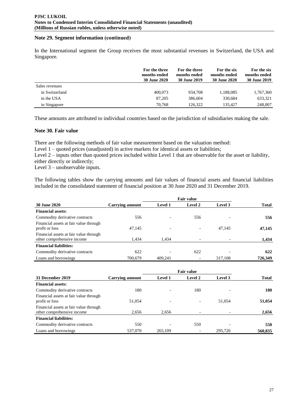In the International segment the Group receives the most substantial revenues in Switzerland, the USA and Singapore.

|                | For the three<br>months ended<br>30 June 2020 | For the three<br>months ended<br>30 June 2019 | For the six<br>months ended<br><b>30 June 2020</b> | For the six<br>months ended<br>30 June 2019 |
|----------------|-----------------------------------------------|-----------------------------------------------|----------------------------------------------------|---------------------------------------------|
| Sales revenues |                                               |                                               |                                                    |                                             |
| in Switzerland | 400,073                                       | 934.708                                       | 1,188,085                                          | 1,767,360                                   |
| in the USA     | 87,205                                        | 386,604                                       | 330.684                                            | 633,321                                     |
| in Singapore   | 70.768                                        | 126.322                                       | 135.427                                            | 248,007                                     |

These amounts are attributed to individual countries based on the jurisdiction of subsidiaries making the sale.

## **Note 30. Fair value**

There are the following methods of fair value measurement based on the valuation method:

Level 1 – quoted prices (unadjusted) in active markets for identical assets or liabilities;

Level 2 – inputs other than quoted prices included within Level 1 that are observable for the asset or liability, either directly or indirectly;

Level 3 – unobservable inputs.

The following tables show the carrying amounts and fair values of financial assets and financial liabilities included in the consolidated statement of financial position at 30 June 2020 and 31 December 2019.

|                                                                      | <b>Fair value</b> |                          |         |         |              |
|----------------------------------------------------------------------|-------------------|--------------------------|---------|---------|--------------|
| 30 June 2020                                                         | Carrying amount   | <b>Level 1</b>           | Level 2 | Level 3 | <b>Total</b> |
| <b>Financial assets:</b>                                             |                   |                          |         |         |              |
| Commodity derivative contracts                                       | 556               | $\overline{\phantom{0}}$ | 556     |         | 556          |
| Financial assets at fair value through<br>profit or loss             | 47,145            | $\overline{\phantom{a}}$ |         | 47,145  | 47,145       |
| Financial assets at fair value through<br>other comprehensive income | 1.434             | 1,434                    |         |         | 1,434        |
| <b>Financial liabilities:</b>                                        |                   |                          |         |         |              |
| Commodity derivative contracts                                       | 622               | $\overline{\phantom{0}}$ | 622     |         | 622          |
| Loans and borrowings                                                 | 700.679           | 409.241                  |         | 317,108 | 726,349      |

|                                                                      | <b>Fair value</b>      |                          |         |         |              |
|----------------------------------------------------------------------|------------------------|--------------------------|---------|---------|--------------|
| 31 December 2019                                                     | <b>Carrying amount</b> | <b>Level 1</b>           | Level 2 | Level 3 | <b>Total</b> |
| <b>Financial assets:</b>                                             |                        |                          |         |         |              |
| Commodity derivative contracts                                       | 180                    |                          | 180     |         | 180          |
| Financial assets at fair value through<br>profit or loss             | 51,054                 | $\overline{\phantom{a}}$ |         | 51,054  | 51,054       |
| Financial assets at fair value through<br>other comprehensive income | 2,656                  | 2,656                    |         |         | 2,656        |
| <b>Financial liabilities:</b>                                        |                        |                          |         |         |              |
| Commodity derivative contracts                                       | 550                    | $\overline{\phantom{a}}$ | 550     |         | 550          |
| Loans and borrowings                                                 | 537,070                | 265,109                  |         | 295.726 | 560,835      |